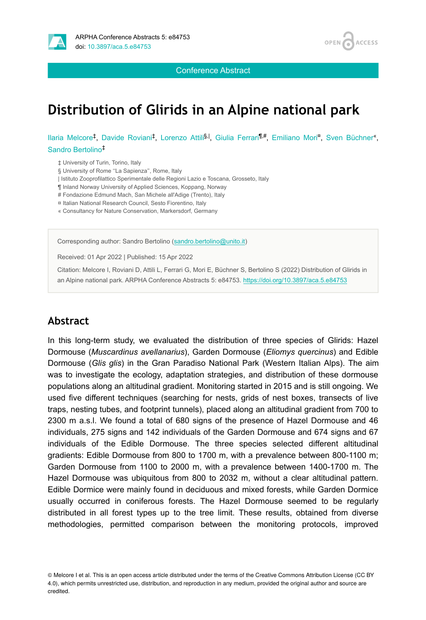

**OPEN ACCESS** 

Conference Abstract

## **Distribution of Glirids in an Alpine national park**

llaria Melcore<sup>‡</sup>, Davide Roviani<sup>‡</sup>, Lorenzo Attili<sup>§, I</sup>, Giulia Ferrari<sup>¶,#</sup>, Emiliano Mori<sup>a</sup>, Sven Büchner<sup>«</sup>, Sandro Bertolino ‡

‡ University of Turin, Torino, Italy

§ University of Rome "La Sapienza", Rome, Italy

| Istituto Zooprofilattico Sperimentale delle Regioni Lazio e Toscana, Grosseto, Italy

¶ Inland Norway University of Applied Sciences, Koppang, Norway

# Fondazione Edmund Mach, San Michele all'Adige (Trento), Italy

¤ Italian National Research Council, Sesto Fiorentino, Italy

« Consultancy for Nature Conservation, Markersdorf, Germany

Corresponding author: Sandro Bertolino ([sandro.bertolino@unito.it\)](mailto:sandro.bertolino@unito.it)

Received: 01 Apr 2022 | Published: 15 Apr 2022

Citation: Melcore I, Roviani D, Attili L, Ferrari G, Mori E, Büchner S, Bertolino S (2022) Distribution of Glirids in an Alpine national park. ARPHA Conference Abstracts 5: e84753. <https://doi.org/10.3897/aca.5.e84753>

## **Abstract**

In this long-term study, we evaluated the distribution of three species of Glirids: Hazel Dormouse (*Muscardinus avellanarius*), Garden Dormouse (*Eliomys quercinus*) and Edible Dormouse (*Glis glis*) in the Gran Paradiso National Park (Western Italian Alps). The aim was to investigate the ecology, adaptation strategies, and distribution of these dormouse populations along an altitudinal gradient. Monitoring started in 2015 and is still ongoing. We used five different techniques (searching for nests, grids of nest boxes, transects of live traps, nesting tubes, and footprint tunnels), placed along an altitudinal gradient from 700 to 2300 m a.s.l. We found a total of 680 signs of the presence of Hazel Dormouse and 46 individuals, 275 signs and 142 individuals of the Garden Dormouse and 674 signs and 67 individuals of the Edible Dormouse. The three species selected different altitudinal gradients: Edible Dormouse from 800 to 1700 m, with a prevalence between 800-1100 m; Garden Dormouse from 1100 to 2000 m, with a prevalence between 1400-1700 m. The Hazel Dormouse was ubiquitous from 800 to 2032 m, without a clear altitudinal pattern. Edible Dormice were mainly found in deciduous and mixed forests, while Garden Dormice usually occurred in coniferous forests. The Hazel Dormouse seemed to be regularly distributed in all forest types up to the tree limit. These results, obtained from diverse methodologies, permitted comparison between the monitoring protocols, improved

© Melcore I et al. This is an open access article distributed under the terms of the Creative Commons Attribution License (CC BY 4.0), which permits unrestricted use, distribution, and reproduction in any medium, provided the original author and source are credited.